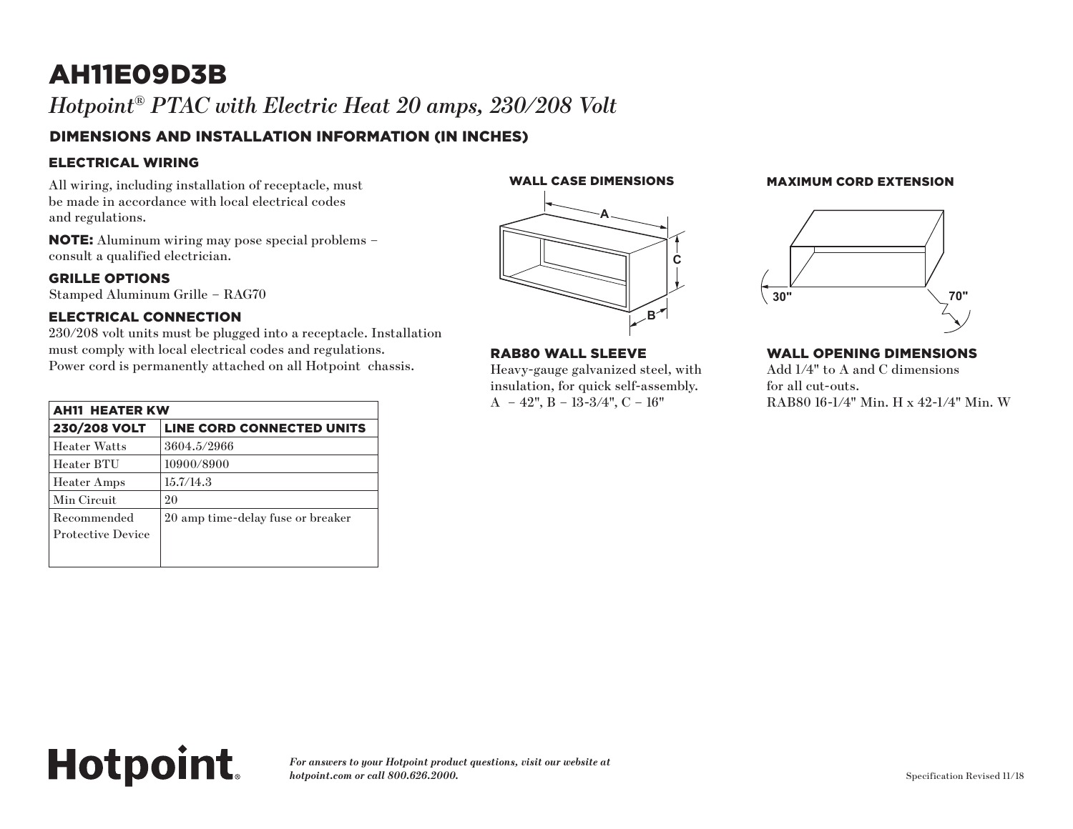# AH11E09D3B *Hotpoint® PTAC with Electric Heat 20 amps, 230/208 Volt*

# DIMENSIONS AND INSTALLATION INFORMATION (IN INCHES)

## ELECTRICAL WIRING

All wiring, including installation of receptacle, must be made in accordance with local electrical codes and regulations.

NOTE: Aluminum wiring may pose special problems – consult a qualified electrician.

#### GRILLE OPTIONS

Stamped Aluminum Grille – RAG70

## ELECTRICAL CONNECTION

**Hotpoint.** 

230/208 volt units must be plugged into a receptacle. Installation must comply with local electrical codes and regulations. Power cord is permanently attached on all Hotpoint chassis.

| <b>AH11 HEATER KW</b>                   |                                   |
|-----------------------------------------|-----------------------------------|
| 230/208 VOLT                            | LINE CORD CONNECTED UNITS         |
| <b>Heater Watts</b>                     | 3604.5/2966                       |
| Heater BTU                              | 10900/8900                        |
| <b>Heater Amps</b>                      | 15.7/14.3                         |
| Min Circuit                             | 20                                |
| Recommended<br><b>Protective Device</b> | 20 amp time-delay fuse or breaker |
|                                         |                                   |



**A**

**C**

**B**

uick self-assembly.

**Wall Opening Dimensions**

RAB80 WALL SLEEVE

 $A - 42$ ",  $B - 13-3/4$ ",  $C - 16$ "

Heavy-gauge galvanized steel, with **RAB80 Wall Sleeve RAB80 Wall Sleeve**

# WALL CASE DIMENSIONS MAXIMUM CORD EXTENSION (in inches) (in inches)



#### WALL OPENING DIMENSIONS

**EXECUTE:** FOR THE FOR THE INSURANCE STEEL, SNAP TO THE INSURANCE STEEL, SNAP TO THE INSURANCE IS IN THE ORDER.  $i$ zed steel, with  $\qquad \qquad \text{Add } 1/4" \text{ to } A \text{ and } C \text{ dimensions}$ for all cut-outs. RAB80 16-1/4" Min. H x 42-1/4" Min. W